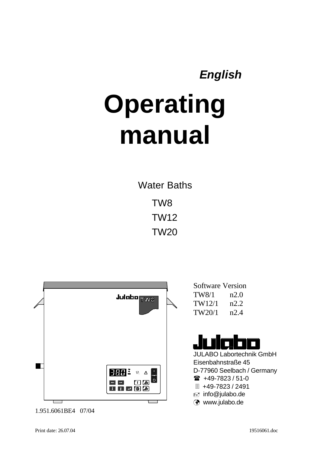# *English*

# **Operating manual**

Water Baths TW8 TW12 TW20



1.951.6061BE4 07/04

Software Version TW8/1 n2.0 TW12/1 n2.2 TW20/1 n2.4

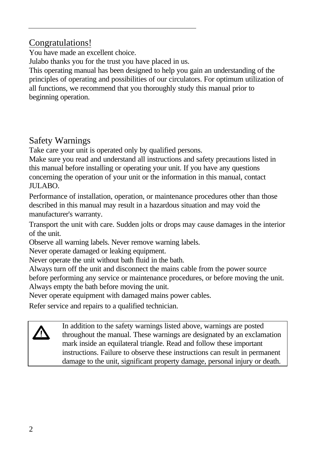# Congratulations!

You have made an excellent choice.

Julabo thanks you for the trust you have placed in us.

This operating manual has been designed to help you gain an understanding of the principles of operating and possibilities of our circulators. For optimum utilization of all functions, we recommend that you thoroughly study this manual prior to beginning operation.

# Safety Warnings

Take care your unit is operated only by qualified persons.

Make sure you read and understand all instructions and safety precautions listed in this manual before installing or operating your unit. If you have any questions concerning the operation of your unit or the information in this manual, contact JULABO.

Performance of installation, operation, or maintenance procedures other than those described in this manual may result in a hazardous situation and may void the manufacturer's warranty.

Transport the unit with care. Sudden jolts or drops may cause damages in the interior of the unit.

Observe all warning labels. Never remove warning labels.

Never operate damaged or leaking equipment.

Never operate the unit without bath fluid in the bath.

Always turn off the unit and disconnect the mains cable from the power source

before performing any service or maintenance procedures, or before moving the unit. Always empty the bath before moving the unit.

Never operate equipment with damaged mains power cables.

Refer service and repairs to a qualified technician.

In addition to the safety warnings listed above, warnings are posted throughout the manual. These warnings are designated by an exclamation mark inside an equilateral triangle. Read and follow these important instructions. Failure to observe these instructions can result in permanent damage to the unit, significant property damage, personal injury or death.

**/r**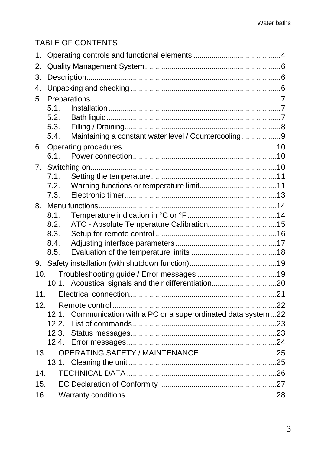# TABLE OF CONTENTS

| 1.  |      |                                                                 |    |
|-----|------|-----------------------------------------------------------------|----|
| 2.  |      |                                                                 |    |
| 3.  |      |                                                                 |    |
| 4.  |      |                                                                 |    |
| 5.  |      |                                                                 |    |
|     | 5.1  |                                                                 |    |
|     | 5.2. |                                                                 |    |
|     | 5.3. |                                                                 |    |
|     | 5.4. | Maintaining a constant water level / Countercooling9            |    |
| 6.  |      |                                                                 |    |
|     | 6.1. |                                                                 |    |
| 7.  |      |                                                                 |    |
|     | 7.1  |                                                                 |    |
|     | 7.2. |                                                                 |    |
|     | 7.3. |                                                                 |    |
| 8.  | 8.1. |                                                                 |    |
|     | 8.2. |                                                                 |    |
|     | 8.3. |                                                                 |    |
|     | 8.4. |                                                                 |    |
|     | 8.5. |                                                                 |    |
| 9.  |      |                                                                 |    |
| 10. |      |                                                                 |    |
|     |      | 10.1. Acoustical signals and their differentiation20            |    |
| 11. |      |                                                                 | 21 |
| 12. |      |                                                                 |    |
|     |      | 12.1. Communication with a PC or a superordinated data system22 |    |
|     |      |                                                                 |    |
|     |      |                                                                 |    |
|     |      |                                                                 |    |
| 13. |      |                                                                 |    |
|     |      |                                                                 |    |
| 14. |      |                                                                 |    |
| 15. |      |                                                                 |    |
| 16. |      |                                                                 |    |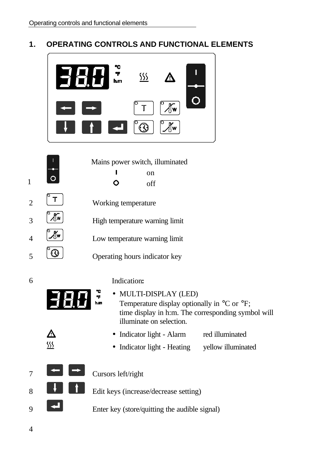### **1. OPERATING CONTROLS AND FUNCTIONAL ELEMENTS**

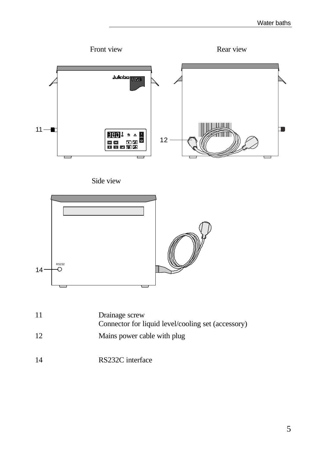#### Water baths

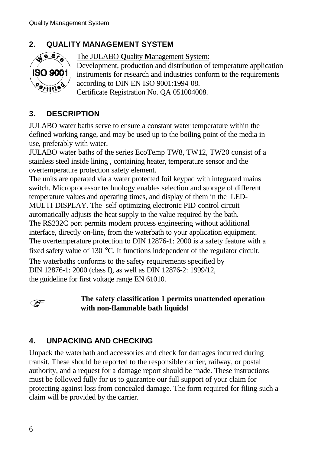# **2. QUALITY MANAGEMENT SYSTEM**



The JULABO **Q**uality **M**anagement **S**ystem:

Development, production and distribution of temperature application instruments for research and industries conform to the requirements according to DIN EN ISO 9001:1994-08.

Certificate Registration No. QA 051004008.

# **3. DESCRIPTION**

JULABO water baths serve to ensure a constant water temperature within the defined working range, and may be used up to the boiling point of the media in use, preferably with water.

JULABO water baths of the series EcoTemp TW8, TW12, TW20 consist of a stainless steel inside lining , containing heater, temperature sensor and the overtemperature protection safety element.

The units are operated via a water protected foil keypad with integrated mains switch. Microprocessor technology enables selection and storage of different temperature values and operating times, and display of them in the LED-MULTI-DISPLAY. The self-optimizing electronic PID-control circuit automatically adjusts the heat supply to the value required by the bath. The RS232C port permits modern process engineering without additional interface, directly on-line, from the waterbath to your application equipment. The overtemperature protection to DIN 12876-1: 2000 is a safety feature with a fixed safety value of 130 °C. It functions independent of the regulator circuit. The waterbaths conforms to the safety requirements specified by DIN 12876-1: 2000 (class I), as well as DIN 12876-2: 1999/12, the guideline for first voltage range EN 61010.

<u>(क्षे</u>

### **The safety classification 1 permits unattended operation with non-flammable bath liquids!**

# **4. UNPACKING AND CHECKING**

Unpack the waterbath and accessories and check for damages incurred during transit. These should be reported to the responsible carrier, railway, or postal authority, and a request for a damage report should be made. These instructions must be followed fully for us to guarantee our full support of your claim for protecting against loss from concealed damage. The form required for filing such a claim will be provided by the carrier.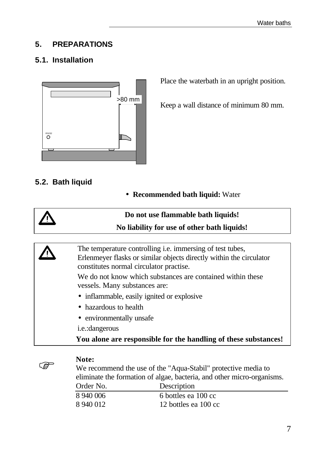### **5. PREPARATIONS**

# **5.1. Installation**



Place the waterbath in an upright position.

Keep a wall distance of minimum 80 mm.

### **5.2. Bath liquid**

• **Recommended bath liquid:** Water







#### **Note:**

We recommend the use of the "Aqua-Stabil" protective media to eliminate the formation of algae, bacteria, and other micro-organisms. Order No. Description

| Description          |
|----------------------|
| 6 bottles ea 100 cc  |
| 12 bottles ea 100 cc |
|                      |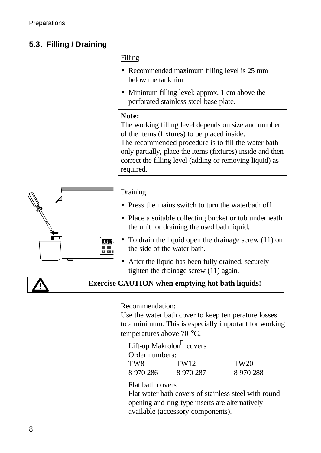# **5.3. Filling / Draining**

### Filling

- Recommended maximum filling level is 25 mm below the tank rim
- Minimum filling level: approx. 1 cm above the perforated stainless steel base plate.

### **Note:**

The working filling level depends on size and number of the items (fixtures) to be placed inside. The recommended procedure is to fill the water bath only partially, place the items (fixtures) inside and then correct the filling level (adding or removing liquid) as required.



### **Draining**

- Press the mains switch to turn the waterbath off
- Place a suitable collecting bucket or tub underneath the unit for draining the used bath liquid.
- To drain the liquid open the drainage screw (11) on the side of the water bath.
- After the liquid has been fully drained, securely tighten the drainage screw (11) again.



### **Exercise CAUTION when emptying hot bath liquids!**

Recommendation:

Use the water bath cover to keep temperature losses to a minimum. This is especially important for working temperatures above 70 °C.

Lift-up Makrolon® covers Order numbers: TW8 TW12 TW20 8 970 286 8 970 287 8 970 288

Flat bath covers

Flat water bath covers of stainless steel with round opening and ring-type inserts are alternatively available (accessory components).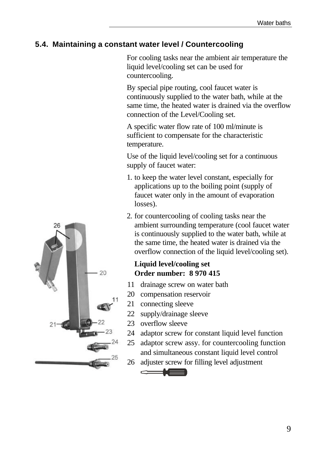### **5.4. Maintaining a constant water level / Countercooling**

For cooling tasks near the ambient air temperature the liquid level/cooling set can be used for countercooling.

By special pipe routing, cool faucet water is continuously supplied to the water bath, while at the same time, the heated water is drained via the overflow connection of the Level/Cooling set.

A specific water flow rate of 100 ml/minute is sufficient to compensate for the characteristic temperature.

Use of the liquid level/cooling set for a continuous supply of faucet water:

- 1. to keep the water level constant, especially for applications up to the boiling point (supply of faucet water only in the amount of evaporation losses).
- 2. for countercooling of cooling tasks near the ambient surrounding temperature (cool faucet water is continuously supplied to the water bath, while at the same time, the heated water is drained via the overflow connection of the liquid level/cooling set).

### **Liquid level/cooling set Order number: 8 970 415**

- 11 drainage screw on water bath
- 20 compensation reservoir
- 21 connecting sleeve
- 22 supply/drainage sleeve
- 23 overflow sleeve

- 24 adaptor screw for constant liquid level function
- 25 adaptor screw assy. for countercooling function and simultaneous constant liquid level control
- 26 adjuster screw for filling level adjustment

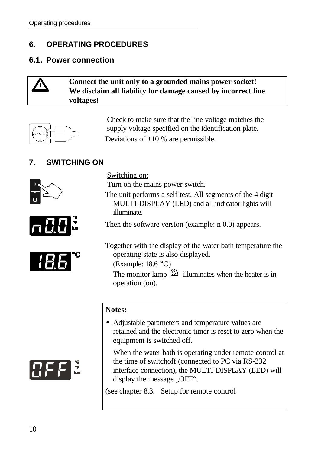### **6. OPERATING PROCEDURES**

### **6.1. Power connection**

### **Connect the unit only to a grounded mains power socket! We disclaim all liability for damage caused by incorrect line voltages!**



Check to make sure that the line voltage matches the supply voltage specified on the identification plate. Deviations of  $\pm 10$  % are permissible.

# **7. SWITCHING ON**







Switching on:

Turn on the mains power switch.

The unit performs a self-test. All segments of the 4-digit MULTI-DISPLAY (LED) and all indicator lights will illuminate.

Then the software version (example: n 0.0) appears.

Together with the display of the water bath temperature the operating state is also displayed. (Example: 18.6 °C)

The monitor lamp  $\frac{\sin}{\sin \theta}$  illuminates when the heater is in operation (on).

#### **Notes:**

• Adjustable parameters and temperature values are retained and the electronic timer is reset to zero when the equipment is switched off.

When the water bath is operating under remote control at the time of switchoff (connected to PC via RS-232 interface connection), the MULTI-DISPLAY (LED) will display the message "OFF".

(see chapter 8.3. Setup for remote control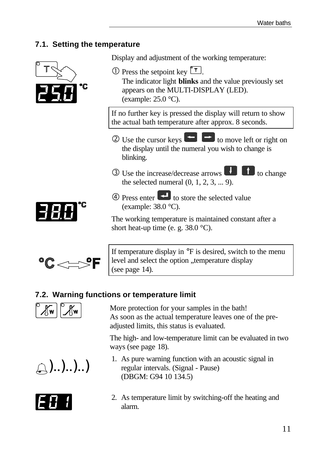### **7.1. Setting the temperature**





If temperature display in  $\mathrm{P}_F$  is desired, switch to the menu level and select the option "temperature display (see page 14).

# **7.2. Warning functions or temperature limit**



More protection for your samples in the bath! As soon as the actual temperature leaves one of the preadjusted limits, this status is evaluated.

The high- and low-temperature limit can be evaluated in two ways (see page 18).





- 1. As pure warning function with an acoustic signal in regular intervals. (Signal - Pause) (DBGM: G94 10 134.5)
- 2. As temperature limit by switching-off the heating and alarm.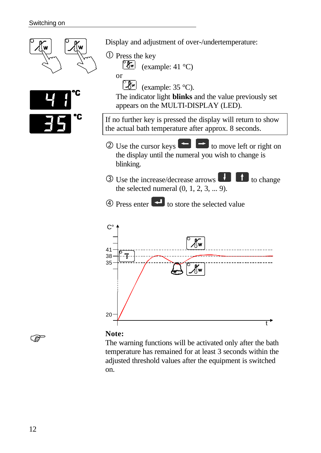

**Note:**

The warning functions will be activated only after the bath temperature has remained for at least 3 seconds within the adjusted threshold values after the equipment is switched on.

ි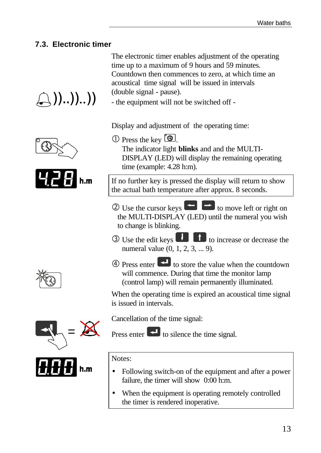### **7.3. Electronic timer**

 $\setminus$  ))..))..))

The electronic timer enables adjustment of the operating time up to a maximum of 9 hours and 59 minutes. Countdown then commences to zero, at which time an acoustical time signal will be issued in intervals (double signal - pause).

- the equipment will not be switched off -

Display and adjustment of the operating time:

 $\circled{1}$  Press the key  $\circled{2}$ . The indicator light **blinks** and and the MULTI-DISPLAY (LED) will display the remaining operating time (example: 4.28 h:m).

If no further key is pressed the display will return to show the actual bath temperature after approx. 8 seconds.

- $\circled{2}$  Use the cursor keys  $\bullet$  to move left or right on the MULTI-DISPLAY (LED) until the numeral you wish to change is blinking.
- $\circled{3}$  Use the edit keys  $\bullet$   $\bullet$  to increase or decrease the numeral value (0, 1, 2, 3, ... 9).
- $\circled{4}$  Press enter  $\bullet$  to store the value when the countdown will commence. During that time the monitor lamp (control lamp) will remain permanently illuminated.

When the operating time is expired an acoustical time signal is issued in intervals.

=



Cancellation of the time signal:

Press enter  $\left| \cdot \right|$  to silence the time signal.

Notes:

- Following switch-on of the equipment and after a power failure, the timer will show 0:00 h:m.
- When the equipment is operating remotely controlled the timer is rendered inoperative.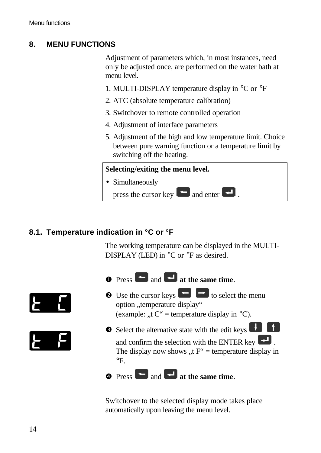### **8. MENU FUNCTIONS**

Adjustment of parameters which, in most instances, need only be adjusted once, are performed on the water bath at menu level.

- 1. MULTI-DISPLAY temperature display in °C or °F
- 2. ATC (absolute temperature calibration)
- 3. Switchover to remote controlled operation
- 4. Adjustment of interface parameters
- 5. Adjustment of the high and low temperature limit. Choice between pure warning function or a temperature limit by switching off the heating.

# **Selecting/exiting the menu level.** • Simultaneously press the cursor key  $\blacksquare$  and enter  $\blacksquare$ .

### **8.1. Temperature indication in °C or °F**

The working temperature can be displayed in the MULTI-DISPLAY (LED) in  $\rm{^{\circ}C}$  or  $\rm{^{\circ}F}$  as desired.







- $\bullet$  Press  $\bullet$  and  $\bullet$  at the same time.
- $\bullet$  Use the cursor keys  $\bullet$  to select the menu option "temperature display" (example: .,t  $C^*$  = temperature display in  $^{\circ}C$ ).
- **e** Select the alternative state with the edit keys

and confirm the selection with the ENTER key  $\blacksquare$ . The display now shows "t  $F''$  = temperature display in  $\mathrm{P}_{\mathrm{F}_{\mathrm{L}}}$ 

# **e** Press **and <b>a** at the same time.

Switchover to the selected display mode takes place automatically upon leaving the menu level.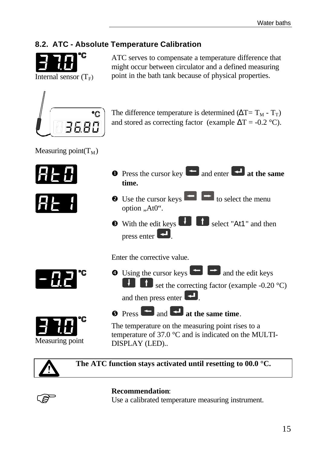# **8.2. ATC - Absolute Temperature Calibration**



ATC serves to compensate a temperature difference that might occur between circulator and a defined measuring point in the bath tank because of physical properties.



The difference temperature is determined ( $\Delta T = T_M - T_T$ ) and stored as correcting factor (example  $\Delta T = -0.2$  °C).

Measuring point( $T_M$ )





| $\bullet$ Press the cursor key $\bullet$ and enter $\bullet$ at the same<br>time.                                                                                        |
|--------------------------------------------------------------------------------------------------------------------------------------------------------------------------|
| • Use the cursor keys <b>in the select the menu</b><br>option "At0".                                                                                                     |
| <b>8</b> With the edit keys <b>the select</b> "At1" and then<br>press enter $\left  \right $ .                                                                           |
| Enter the corrective value.                                                                                                                                              |
| $\bullet$ Using the cursor keys $\bullet$ and the edit keys<br>set the correcting factor (example -0.20 °C)<br>and then press enter $\left\lfloor \cdot \right\rfloor$ . |
| <b>6</b> Press and <b>F</b> at the same time.                                                                                                                            |

The temperature on the measuring point rises to a temperature of 37.0 °C and is indicated on the MULTI-DISPLAY (LED)..



Measuring point

**The ATC function stays activated until resetting to 00.0 °C.**



### **Recommendation**:

Use a calibrated temperature measuring instrument.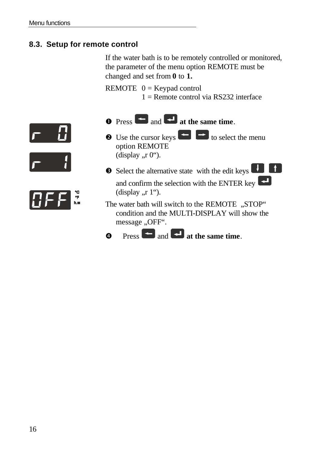### **8.3. Setup for remote control**

If the water bath is to be remotely controlled or monitored, the parameter of the menu option REMOTE must be changed and set from **0** to **1.**

REMOTE  $0 =$  Keypad control

 $1 =$  Remote control via RS232 interface







- $\bullet$  Press  $\bullet$  and  $\bullet$  at the same time.
- $\bullet$  Use the cursor keys  $\bullet$  to select the menu option REMOTE (display  $\pi$ , 0").
- $\bullet$  Select the alternative state with the edit keys  $\bullet$ and confirm the selection with the ENTER key (display  $\pi$ , 1").
- The water bath will switch to the REMOTE "STOP" condition and the MULTI-DISPLAY will show the message "OFF".
- **e** Press **a** and **a** at the same time.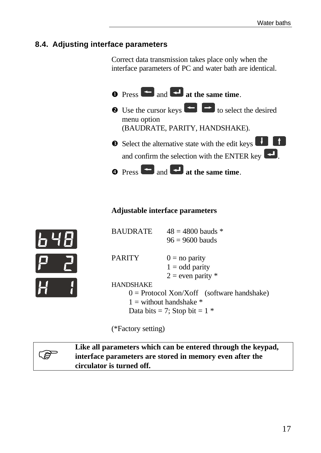### **8.4. Adjusting interface parameters**

Correct data transmission takes place only when the interface parameters of PC and water bath are identical.

| $\bullet$ Press $\bullet$ and $\bullet$ at the same time.                                                                                            |
|------------------------------------------------------------------------------------------------------------------------------------------------------|
| • Use the cursor keys $\bullet$ to select the desired<br>menu option<br>(BAUDRATE, PARITY, HANDSHAKE).                                               |
| Select the alternative state with the edit keys<br>and confirm the selection with the ENTER key $\left[\begin{array}{c} 1 \\ 2 \end{array}\right]$ . |
| $\bullet$ Press $\bullet$ and $\bullet$ at the same time.                                                                                            |

### **Adjustable interface parameters**

| <b>BAUDRATE</b>                              | $48 = 4800$ bauds *   |  |
|----------------------------------------------|-----------------------|--|
|                                              | $96 = 9600$ bauds     |  |
| <b>PARITY</b>                                |                       |  |
|                                              | $0 =$ no parity       |  |
|                                              | $1 =$ odd parity      |  |
|                                              | $2 =$ even parity $*$ |  |
| <b>HANDSHAKE</b>                             |                       |  |
| $0 =$ Protocol Xon/Xoff (software handshake) |                       |  |
| $1 =$ without handshake $*$                  |                       |  |
| Data bits = 7; Stop bit = $1 *$              |                       |  |

(\*Factory setting)



**Like all parameters which can be entered through the keypad, interface parameters are stored in memory even after the circulator is turned off.**

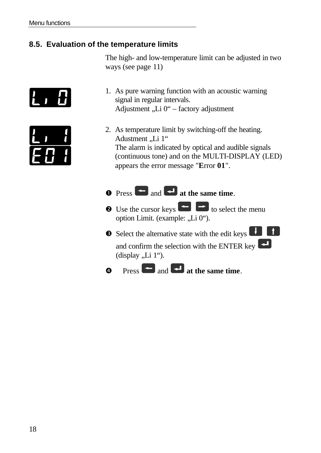# **8.5. Evaluation of the temperature limits**

The high- and low-temperature limit can be adjusted in two ways (see page 11)



- 1. As pure warning function with an acoustic warning signal in regular intervals. Adjustment "Li 0" – factory adjustment
- 2. As temperature limit by switching-off the heating. Adustment "Li 1" The alarm is indicated by optical and audible signals (continuous tone) and on the MULTI-DISPLAY (LED) appears the error message "**E**rror **01**".

# $\bullet$  Press **and**  $\bullet$  at the same time.

- $\bullet$  Use the cursor keys  $\bullet$  to select the menu option Limit. (example: "Li 0").
- $\bullet$  Select the alternative state with the edit keys  $\bullet$ and confirm the selection with the ENTER key (display  $,Li$  1").
- **a** Press **a** and **a** at the same time.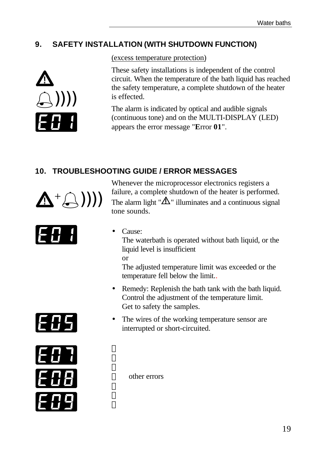# **9. SAFETY INSTALLATION (WITH SHUTDOWN FUNCTION)**



(excess temperature protection)

These safety installations is independent of the control circuit. When the temperature of the bath liquid has reached the safety temperature, a complete shutdown of the heater is effected.

The alarm is indicated by optical and audible signals (continuous tone) and on the MULTI-DISPLAY (LED) appears the error message "**E**rror **01**".

# **10. TROUBLESHOOTING GUIDE / ERROR MESSAGES**



Whenever the microprocessor electronics registers a failure, a complete shutdown of the heater is performed. The alarm light " $\Delta$ " illuminates and a continuous signal tone sounds.





• Cause:

The waterbath is operated without bath liquid, or the liquid level is insufficient

or

 $\mathbf{I}$  $\mathbf{I}$  $\mathbf{I}$ 

 $\mathbf{I}$  $\mathbf{I}$ J The adjusted temperature limit was exceeded or the temperature fell below the limit..

- Remedy: Replenish the bath tank with the bath liquid. Control the adjustment of the temperature limit. Get to safety the samples.
- The wires of the working temperature sensor are interrupted or short-circuited.

other errors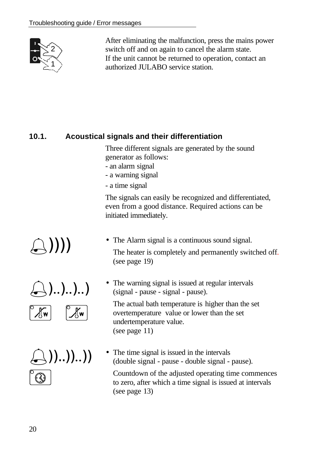

After eliminating the malfunction, press the mains power switch off and on again to cancel the alarm state. If the unit cannot be returned to operation, contact an authorized JULABO service station.

# **10.1. Acoustical signals and their differentiation**

Three different signals are generated by the sound generator as follows:

- an alarm signal
- a warning signal
- a time signal

The signals can easily be recognized and differentiated, even from a good distance. Required actions can be initiated immediately.

• The Alarm signal is a continuous sound signal.

The heater is completely and permanently switched off. (see page 19)

• The warning signal is issued at regular intervals (signal - pause - signal - pause).

The actual bath temperature is higher than the set overtemperature value or lower than the set undertemperature value. (see page 11)

• The time signal is issued in the intervals (double signal - pause - double signal - pause).

Countdown of the adjusted operating time commences to zero, after which a time signal is issued at intervals (see page 13)

%))))



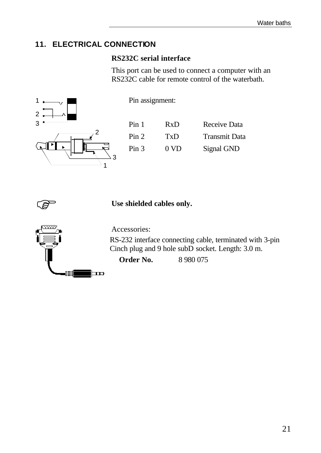### **11. ELECTRICAL CONNECTION**

### **RS232C serial interface**

This port can be used to connect a computer with an RS232C cable for remote control of the waterbath.



Pin assignment:

| Pin 1 | RxD             | Receive Data         |
|-------|-----------------|----------------------|
| Pin 2 | TxD             | <b>Transmit Data</b> |
| Pin 3 | 0 <sub>VD</sub> | Signal GND           |



Use shielded cables only.



Accessories:

RS-232 interface connecting cable, terminated with 3-pin Cinch plug and 9 hole subD socket. Length: 3.0 m.

**Order No.** 8 980 075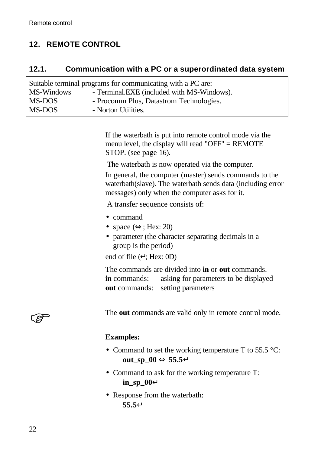### **12. REMOTE CONTROL**

### **12.1. Communication with a PC or a superordinated data system**

| Suitable terminal programs for communicating with a PC are: |                                            |  |  |
|-------------------------------------------------------------|--------------------------------------------|--|--|
| MS-Windows                                                  | - Terminal.EXE (included with MS-Windows). |  |  |
| MS-DOS                                                      | - Procomm Plus, Datastrom Technologies.    |  |  |
| MS-DOS                                                      | - Norton Utilities.                        |  |  |

If the waterbath is put into remote control mode via the menu level, the display will read "OFF" = REMOTE STOP. (see page 16).

The waterbath is now operated via the computer.

In general, the computer (master) sends commands to the waterbath(slave). The waterbath sends data (including error messages) only when the computer asks for it.

A transfer sequence consists of:

- command
- space  $(\Leftrightarrow; \text{Hex: } 20)$
- parameter (the character separating decimals in a group is the period)

end of file  $(\lnot$ ; Hex: 0D)

The commands are divided into **in** or **out** commands. **in** commands: asking for parameters to be displayed **out** commands: setting parameters



The **out** commands are valid only in remote control mode.

#### **Examples:**

- Command to set the working temperature T to 55.5 °C: **out\_sp\_00** ⇔ **55.5¿**
- Command to ask for the working temperature T: **in\_sp\_00¿**
- Response from the waterbath: **55.5¿**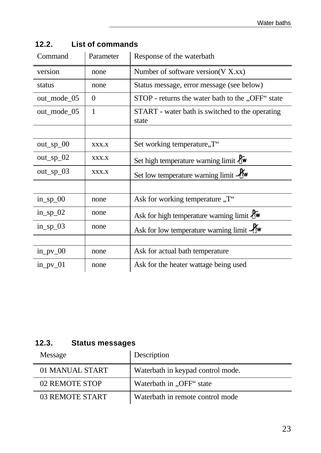| Command     | Parameter      | Response of the waterbath                                |
|-------------|----------------|----------------------------------------------------------|
| version     | none           | Number of software version $(V X, xx)$                   |
| status      | none           | Status message, error message (see below)                |
| out_mode_05 | $\overline{0}$ | STOP - returns the water bath to the "OFF" state         |
| out_mode_05 | $\mathbf{1}$   | START - water bath is switched to the operating<br>state |
|             |                |                                                          |
| $out_sp_0$  | XXX.X          | Set working temperature,, T"                             |
| $out_sp_02$ | XXX.X          | Set high temperature warning limit tw                    |
| $out_sp_03$ | XXX.X          | Set low temperature warning limit -Uw                    |
|             |                |                                                          |
| $in_sp_00$  | none           | Ask for working temperature "T"                          |
| $in_sp_02$  | none           | Ask for high temperature warning limit $\ell$ w          |
| $in_sp_03$  | none           | Ask for low temperature warning limit $\mathcal{N}$ w    |
|             |                |                                                          |
| $in_p$ v_00 | none           | Ask for actual bath temperature                          |
| $in\_pv_01$ | none           | Ask for the heater wattage being used                    |

**12.2. List of commands**

# **12.3. Status messages**

| Message         | Description                       |
|-----------------|-----------------------------------|
| 01 MANUAL START | Waterbath in keypad control mode. |
| 02 REMOTE STOP  | Waterbath in "OFF" state          |
| 03 REMOTE START | Waterbath in remote control mode  |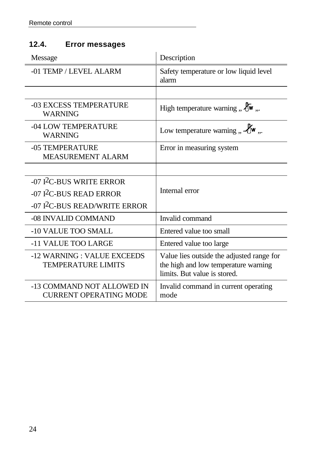# **12.4. Error messages**

| Message                                                     | Description                                                                                                       |
|-------------------------------------------------------------|-------------------------------------------------------------------------------------------------------------------|
| -01 TEMP / LEVEL ALARM                                      | Safety temperature or low liquid level<br>alarm                                                                   |
|                                                             |                                                                                                                   |
| -03 EXCESS TEMPERATURE<br><b>WARNING</b>                    | High temperature warning $\mathcal{H}_{\mathbf{w}}$ ,.                                                            |
| -04 LOW TEMPERATURE<br><b>WARNING</b>                       | Low temperature warning $\mathcal{A}$ $\mathcal{H}$ $\mathbf{w}$ $\mathcal{A}$                                    |
| -05 TEMPERATURE<br><b>MEASUREMENT ALARM</b>                 | Error in measuring system                                                                                         |
|                                                             |                                                                                                                   |
| $-07$ $12$ C-BUS WRITE ERROR                                |                                                                                                                   |
| $-07$ I <sup>2</sup> C-BUS READ ERROR                       | Internal error                                                                                                    |
| -07 I <sup>2</sup> C-BUS READ/WRITE ERROR                   |                                                                                                                   |
| -08 INVALID COMMAND                                         | Invalid command                                                                                                   |
| -10 VALUE TOO SMALL                                         | Entered value too small                                                                                           |
| -11 VALUE TOO LARGE                                         | Entered value too large                                                                                           |
| -12 WARNING : VALUE EXCEEDS<br><b>TEMPERATURE LIMITS</b>    | Value lies outside the adjusted range for<br>the high and low temperature warning<br>limits. But value is stored. |
| -13 COMMAND NOT ALLOWED IN<br><b>CURRENT OPERATING MODE</b> | Invalid command in current operating<br>mode                                                                      |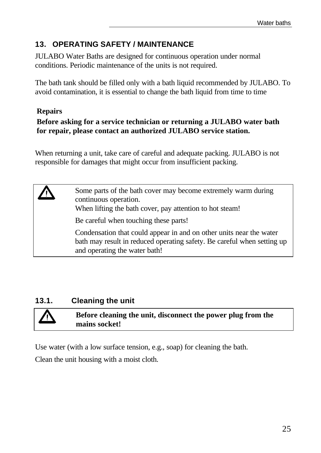# **13. OPERATING SAFETY / MAINTENANCE**

JULABO Water Baths are designed for continuous operation under normal conditions. Periodic maintenance of the units is not required.

The bath tank should be filled only with a bath liquid recommended by JULABO. To avoid contamination, it is essential to change the bath liquid from time to time

### **Repairs**

### **Before asking for a service technician or returning a JULABO water bath for repair, please contact an authorized JULABO service station.**

When returning a unit, take care of careful and adequate packing. JULABO is not responsible for damages that might occur from insufficient packing.

Some parts of the bath cover may become extremely warm during continuous operation. When lifting the bath cover, pay attention to hot steam! Be careful when touching these parts! Condensation that could appear in and on other units near the water bath may result in reduced operating safety. Be careful when setting up and operating the water bath!

# **13.1. Cleaning the unit**

**Before cleaning the unit, disconnect the power plug from the mains socket!**

Use water (with a low surface tension, e.g., soap) for cleaning the bath.

Clean the unit housing with a moist cloth.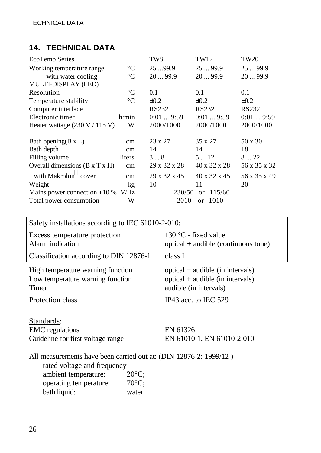### **14. TECHNICAL DATA**

| <b>EcoTemp Series</b>                                                |                 | TW8          | TW12                     | <b>TW20</b>  |
|----------------------------------------------------------------------|-----------------|--------------|--------------------------|--------------|
| Working temperature range                                            | $\rm ^{\circ}C$ | 2599.9       | 2599.9                   | 2599.9       |
| with water cooling                                                   | $\rm ^{\circ}C$ | 2099.9       | 2099.9                   | 2099.9       |
| MULTI-DISPLAY (LED)                                                  |                 |              |                          |              |
| Resolution                                                           | $\rm ^{\circ}C$ | 0.1          | 0.1                      | 0.1          |
| Temperature stability                                                | $\rm ^{\circ}C$ | $\pm 0.2$    | $\pm 0.2$                | $\pm 0.2$    |
| Computer interface                                                   |                 | <b>RS232</b> | <b>RS232</b>             | <b>RS232</b> |
| Electronic timer                                                     | h:min           | 0:019:59     | 0:019:59                 | 0:019:59     |
| Heater wattage $(230 V / 115 V)$                                     | W               | 2000/1000    | 2000/1000                | 2000/1000    |
| Bath opening $(B \times L)$                                          | cm              | 23 x 27      | 35 x 27                  | 50 x 30      |
| Bath depth                                                           | $\rm cm$        | 14           | 14                       | 18           |
| Filling volume                                                       | liters          | 38           | 5  12                    | 822          |
| Overall dimensions $(B \times T \times H)$                           | cm              | 29 x 32 x 28 | 40 x 32 x 28             | 56 x 35 x 32 |
| with Makrolon <sup><math>\overset{\circ}{\text{}}</math> cover</sup> | cm              | 29 x 32 x 45 | $40 \times 32 \times 45$ | 56 x 35 x 49 |
| Weight                                                               | kg              | 10           | 11                       | 20           |
| Mains power connection $\pm 10\%$ V/Hz                               |                 | 230/50       | 115/60<br><b>or</b>      |              |
| Total power consumption                                              | W               | 2010         | 1010<br><sub>or</sub>    |              |
|                                                                      |                 |              |                          |              |

Safety installations according to IEC 61010-2-010: Excess temperature protection 130 °C - fixed value

| <b>Execute competature</b> protection<br>Alarm indication                                                                                                                                | $optical + audible (continuous tone)$                                                              |  |  |  |
|------------------------------------------------------------------------------------------------------------------------------------------------------------------------------------------|----------------------------------------------------------------------------------------------------|--|--|--|
| Classification according to DIN 12876-1                                                                                                                                                  | class I                                                                                            |  |  |  |
| High temperature warning function<br>Low temperature warning function<br>Timer                                                                                                           | $optical + audible (in intervals)$<br>$optical + audible (in intervals)$<br>audible (in intervals) |  |  |  |
| Protection class                                                                                                                                                                         | IP43 acc. to IEC $529$                                                                             |  |  |  |
| Standards:<br><b>EMC</b> regulations<br>Guideline for first voltage range                                                                                                                | EN 61326<br>EN 61010-1, EN 61010-2-010                                                             |  |  |  |
| All measurements have been carried out at: (DIN 12876-2: 1999/12)<br>rated voltage and frequency<br>$20^{\circ}$ C;<br>ambient temperature:<br>$70^{\circ}$ C;<br>operating temperature: |                                                                                                    |  |  |  |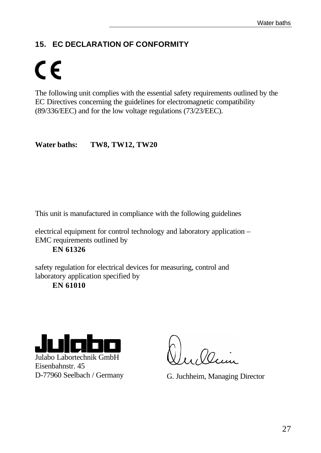# **15. EC DECLARATION OF CONFORMITY**

# $\mathsf{CE}$

The following unit complies with the essential safety requirements outlined by the EC Directives concerning the guidelines for electromagnetic compatibility (89/336/EEC) and for the low voltage regulations (73/23/EEC).

**Water baths: TW8, TW12, TW20**

This unit is manufactured in compliance with the following guidelines

electrical equipment for control technology and laboratory application – EMC requirements outlined by

**EN 61326**

safety regulation for electrical devices for measuring, control and laboratory application specified by

**EN 61010**



Julabo Labortechnik GmbH Eisenbahnstr. 45

Dann

D-77960 Seelbach / Germany G. Juchheim, Managing Director